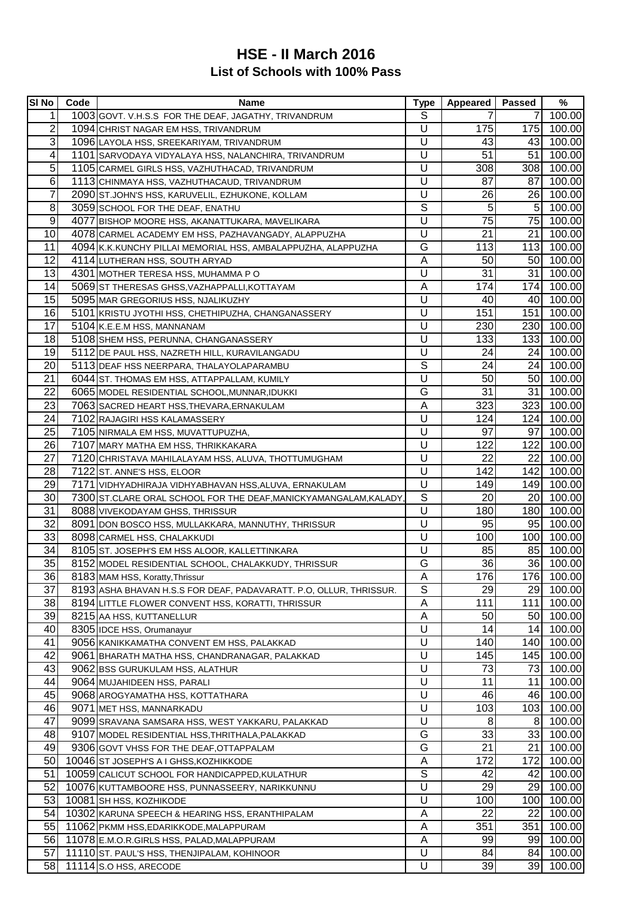## **List of Schools with 100% Pass HSE - II March 2016**

| <b>SI No</b>   | Code | <b>Name</b>                                                        | <b>Type</b>    | <b>Appeared</b> | <b>Passed</b>   | %          |
|----------------|------|--------------------------------------------------------------------|----------------|-----------------|-----------------|------------|
| 1              |      | 1003 GOVT. V.H.S.S FOR THE DEAF, JAGATHY, TRIVANDRUM               | S              |                 | 7               | 100.00     |
| 2              |      | 1094 CHRIST NAGAR EM HSS, TRIVANDRUM                               | U              | 175             | 175             | 100.00     |
| 3              |      | 1096 LAYOLA HSS, SREEKARIYAM, TRIVANDRUM                           | U              | 43              | 43              | 100.00     |
| 4              |      | 1101 SARVODAYA VIDYALAYA HSS, NALANCHIRA, TRIVANDRUM               | U              | 51              | 51              | 100.00     |
| 5              |      | 1105 CARMEL GIRLS HSS, VAZHUTHACAD, TRIVANDRUM                     | U              | 308             | 308             | 100.00     |
| 6              |      | 1113 CHINMAYA HSS, VAZHUTHACAUD, TRIVANDRUM                        | U              | 87              | 87              | 100.00     |
| $\overline{7}$ |      | 2090 ST.JOHN'S HSS, KARUVELIL, EZHUKONE, KOLLAM                    | U              | 26              | 26              | 100.00     |
| 8              |      | 3059 SCHOOL FOR THE DEAF, ENATHU                                   | $\overline{s}$ | $\overline{5}$  | 5 <sup>1</sup>  | 100.00     |
| 9              |      | 4077 BISHOP MOORE HSS, AKANATTUKARA, MAVELIKARA                    | U              | 75              | 75              | 100.00     |
| 10             |      | 4078 CARMEL ACADEMY EM HSS, PAZHAVANGADY, ALAPPUZHA                | U              | 21              | 21              | 100.00     |
| 11             |      | 4094 K.K.KUNCHY PILLAI MEMORIAL HSS, AMBALAPPUZHA, ALAPPUZHA       | G              | 113             | 113             | 100.00     |
| 12             |      | 4114 LUTHERAN HSS, SOUTH ARYAD                                     | A              | 50              | 50 <sub>l</sub> | 100.00     |
| 13             |      | 4301 MOTHER TERESA HSS, MUHAMMA PO                                 | U              | $\overline{31}$ | 31              | 100.00     |
| 14             |      | 5069 ST THERESAS GHSS, VAZHAPPALLI, KOTTAYAM                       | A              | 174             | 174             | 100.00     |
| 15             |      | 5095 MAR GREGORIUS HSS, NJALIKUZHY                                 | U              | 40              | 40              | 100.00     |
| 16             |      |                                                                    | U              | 151             | 151             | 100.00     |
| 17             |      | 5101 KRISTU JYOTHI HSS, CHETHIPUZHA, CHANGANASSERY                 | U              | 230             | 230             |            |
|                |      | 5104 K.E.E.M HSS, MANNANAM                                         |                |                 |                 | 100.00     |
| 18             |      | 5108 SHEM HSS, PERUNNA, CHANGANASSERY                              | U              | 133             | 133             | 100.00     |
| 19             |      | 5112 DE PAUL HSS, NAZRETH HILL, KURAVILANGADU                      | U              | 24              | 24              | 100.00     |
| 20             |      | 5113 DEAF HSS NEERPARA, THALAYOLAPARAMBU                           | S              | 24              | 24              | 100.00     |
| 21             |      | 6044 ST. THOMAS EM HSS, ATTAPPALLAM, KUMILY                        | U              | 50              | 50 <sub>l</sub> | 100.00     |
| 22             |      | 6065 MODEL RESIDENTIAL SCHOOL, MUNNAR, IDUKKI                      | G              | 31              | 31              | 100.00     |
| 23             |      | 7063 SACRED HEART HSS, THEVARA, ERNAKULAM                          | A              | 323             | 323             | 100.00     |
| 24             |      | 7102 RAJAGIRI HSS KALAMASSERY                                      | U              | 124             | 124             | 100.00     |
| 25             |      | 7105 NIRMALA EM HSS, MUVATTUPUZHA,                                 | U              | 97              | 97 <sub>l</sub> | 100.00     |
| 26             |      | 7107 MARY MATHA EM HSS, THRIKKAKARA                                | U              | 122             | 122             | 100.00     |
| 27             |      | 7120 CHRISTAVA MAHILALAYAM HSS, ALUVA, THOTTUMUGHAM                | U              | 22              | 22              | 100.00     |
| 28             |      | 7122 ST. ANNE'S HSS, ELOOR                                         | U              | 142             | 142             | 100.00     |
| 29             |      | 7171 VIDHYADHIRAJA VIDHYABHAVAN HSS, ALUVA, ERNAKULAM              | U              | 149             | 149             | 100.00     |
| 30             |      | 7300 ST.CLARE ORAL SCHOOL FOR THE DEAF, MANICKY AMANGALAM, KALADY  | S              | 20              | 20              | 100.00     |
| 31             |      | 8088 VIVEKODAYAM GHSS, THRISSUR                                    | U              | 180             | 180             | 100.00     |
| 32             |      | 8091 DON BOSCO HSS, MULLAKKARA, MANNUTHY, THRISSUR                 | U              | 95              | 95              | 100.00     |
| 33             |      | 8098 CARMEL HSS, CHALAKKUDI                                        | U              | 100             | 100             | 100.00     |
| 34             |      | 8105 ST. JOSEPH'S EM HSS ALOOR, KALLETTINKARA                      | U              | 85              | 85              | 100.00     |
| 35             |      | 8152 MODEL RESIDENTIAL SCHOOL, CHALAKKUDY, THRISSUR                | G              | 36              | 36              | 100.00     |
| 36             |      | 8183 MAM HSS, Koratty, Thrissur                                    | A              | 176             |                 | 176 100.00 |
| 37             |      | 8193 ASHA BHAVAN H.S.S FOR DEAF, PADAVARATT. P.O, OLLUR, THRISSUR. | S              | 29              | <b>29</b>       | 100.00     |
| 38             |      | 8194 LITTLE FLOWER CONVENT HSS, KORATTI, THRISSUR                  | A              | 111             | 111             | 100.00     |
| 39             |      | 8215 AA HSS, KUTTANELLUR                                           | A              | 50              | 50              | 100.00     |
| 40             |      | 8305 IDCE HSS, Orumanayur                                          | U              | 14              | 14 <sup>1</sup> | 100.00     |
| 41             |      | 9056 KANIKKAMATHA CONVENT EM HSS, PALAKKAD                         | U              | 140             | 140             | 100.00     |
| 42             |      | 9061 BHARATH MATHA HSS, CHANDRANAGAR, PALAKKAD                     | U              | 145             | 145             | 100.00     |
| 43             |      | 9062 BSS GURUKULAM HSS, ALATHUR                                    | U              | 73              | 73              | 100.00     |
| 44             |      | 9064 MUJAHIDEEN HSS, PARALI                                        | U              | 11              | 11              | 100.00     |
| 45             |      | 9068 AROGYAMATHA HSS, KOTTATHARA                                   | U              | 46              | 46              | 100.00     |
| 46             |      | 9071 MET HSS, MANNARKADU                                           | U              | 103             | 103             | 100.00     |
| 47             |      | 9099 SRAVANA SAMSARA HSS, WEST YAKKARU, PALAKKAD                   | U              | 8               | 8               | 100.00     |
| 48             |      | 9107 MODEL RESIDENTIAL HSS, THRITHALA, PALAKKAD                    | G              | 33              | 33              | 100.00     |
| 49             |      | 9306 GOVT VHSS FOR THE DEAF, OTTAPPALAM                            | G              | $\overline{21}$ | 21              | 100.00     |
| 50             |      | 10046 ST JOSEPH'S A I GHSS, KOZHIKKODE                             | Α              | 172             | 172             | 100.00     |
| 51             |      | 10059 CALICUT SCHOOL FOR HANDICAPPED, KULATHUR                     | S              | 42              | 42              | 100.00     |
| 52             |      | 10076 KUTTAMBOORE HSS, PUNNASSEERY, NARIKKUNNU                     | U              | 29              | 29 I            | 100.00     |
| 53             |      | 10081 SH HSS, KOZHIKODE                                            | U              | 100             | 100             | 100.00     |
| 54             |      | 10302 KARUNA SPEECH & HEARING HSS, ERANTHIPALAM                    | Α              | 22              | 22              | 100.00     |
| 55             |      | 11062 PKMM HSS, EDARIKKODE, MALAPPURAM                             | А              | 351             | 351             | 100.00     |
| <b>56</b>      |      | 11078 E.M.O.R.GIRLS HSS, PALAD, MALAPPURAM                         | A              | 99              | 99              | 100.00     |
| 57             |      | 11110 ST. PAUL'S HSS, THENJIPALAM, KOHINOOR                        | U              | 84              | 84              | 100.00     |
| 58             |      | 11114 S.O HSS, ARECODE                                             | U              | 39              | 39              | 100.00     |